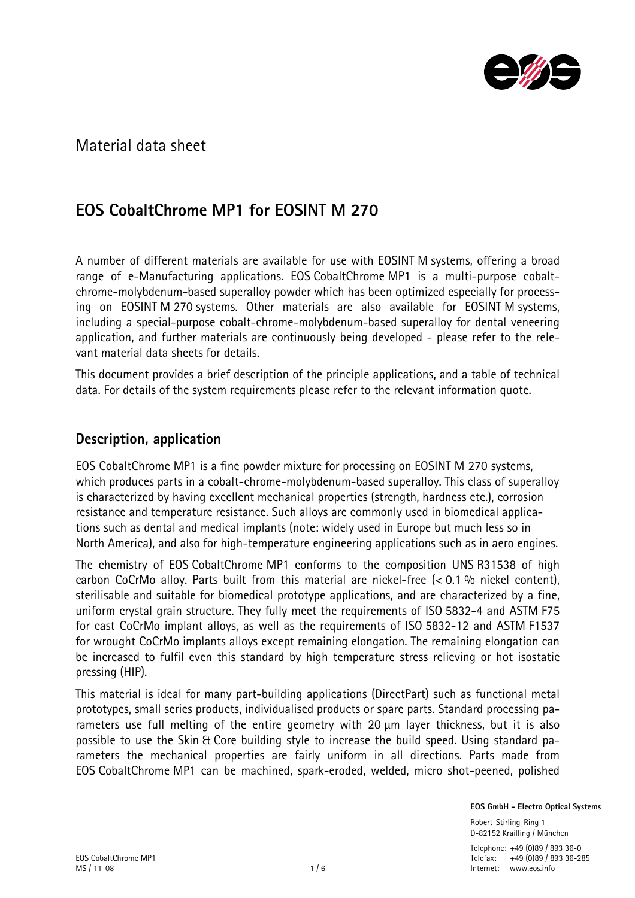

## **EOS CobaltChrome MP1 for EOSINT M 270**

A number of different materials are available for use with EOSINT M systems, offering a broad range of e-Manufacturing applications. EOS CobaltChrome MP1 is a multi-purpose cobaltchrome-molybdenum-based superalloy powder which has been optimized especially for processing on EOSINT M 270 systems. Other materials are also available for EOSINT M systems, including a special-purpose cobalt-chrome-molybdenum-based superalloy for dental veneering application, and further materials are continuously being developed - please refer to the relevant material data sheets for details.

This document provides a brief description of the principle applications, and a table of technical data. For details of the system requirements please refer to the relevant information quote.

### **Description, application**

EOS CobaltChrome MP1 is a fine powder mixture for processing on EOSINT M 270 systems, which produces parts in a cobalt-chrome-molybdenum-based superalloy. This class of superalloy is characterized by having excellent mechanical properties (strength, hardness etc.), corrosion resistance and temperature resistance. Such alloys are commonly used in biomedical applications such as dental and medical implants (note: widely used in Europe but much less so in North America), and also for high-temperature engineering applications such as in aero engines.

The chemistry of EOS CobaltChrome MP1 conforms to the composition UNS R31538 of high carbon CoCrMo alloy. Parts built from this material are nickel-free  $(< 0.1$  % nickel content), sterilisable and suitable for biomedical prototype applications, and are characterized by a fine, uniform crystal grain structure. They fully meet the requirements of ISO 5832-4 and ASTM F75 for cast CoCrMo implant alloys, as well as the requirements of ISO 5832-12 and ASTM F1537 for wrought CoCrMo implants alloys except remaining elongation. The remaining elongation can be increased to fulfil even this standard by high temperature stress relieving or hot isostatic pressing (HIP).

This material is ideal for many part-building applications (DirectPart) such as functional metal prototypes, small series products, individualised products or spare parts. Standard processing parameters use full melting of the entire geometry with 20  $\mu$ m layer thickness, but it is also possible to use the Skin & Core building style to increase the build speed. Using standard parameters the mechanical properties are fairly uniform in all directions. Parts made from EOS CobaltChrome MP1 can be machined, spark-eroded, welded, micro shot-peened, polished

 **EOS GmbH - Electro Optical Systems**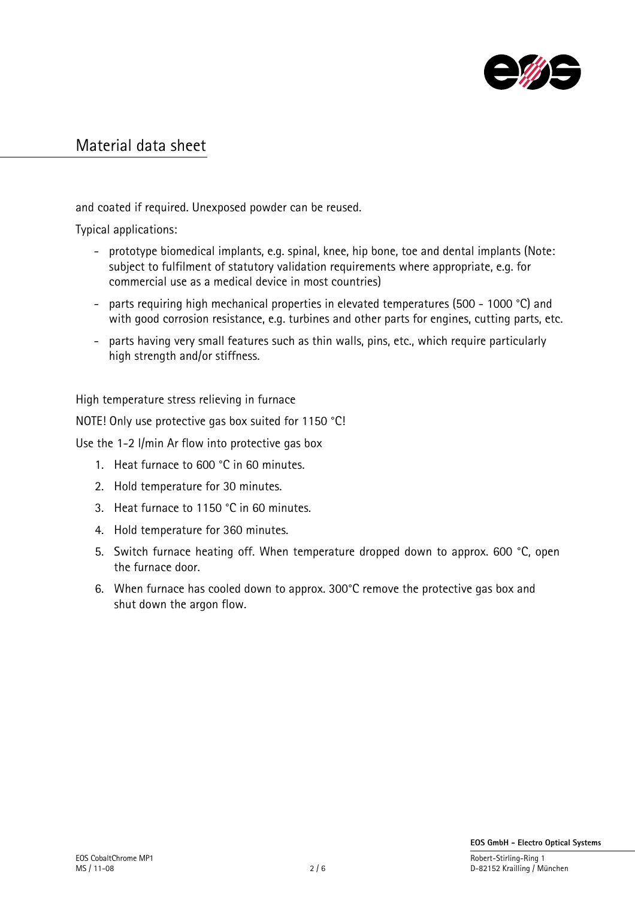

and coated if required. Unexposed powder can be reused.

Typical applications:

- prototype biomedical implants, e.g. spinal, knee, hip bone, toe and dental implants (Note: subject to fulfilment of statutory validation requirements where appropriate, e.g. for commercial use as a medical device in most countries)
- parts requiring high mechanical properties in elevated temperatures (500 1000 °C) and with good corrosion resistance, e.g. turbines and other parts for engines, cutting parts, etc.
- parts having very small features such as thin walls, pins, etc., which require particularly high strength and/or stiffness.

High temperature stress relieving in furnace

NOTE! Only use protective gas box suited for 1150 °C!

Use the 1-2 l/min Ar flow into protective gas box

- 1. Heat furnace to 600 °C in 60 minutes.
- 2. Hold temperature for 30 minutes.
- 3. Heat furnace to 1150 °C in 60 minutes.
- 4. Hold temperature for 360 minutes.
- 5. Switch furnace heating off. When temperature dropped down to approx. 600 °C, open the furnace door.
- 6. When furnace has cooled down to approx. 300°C remove the protective gas box and shut down the argon flow.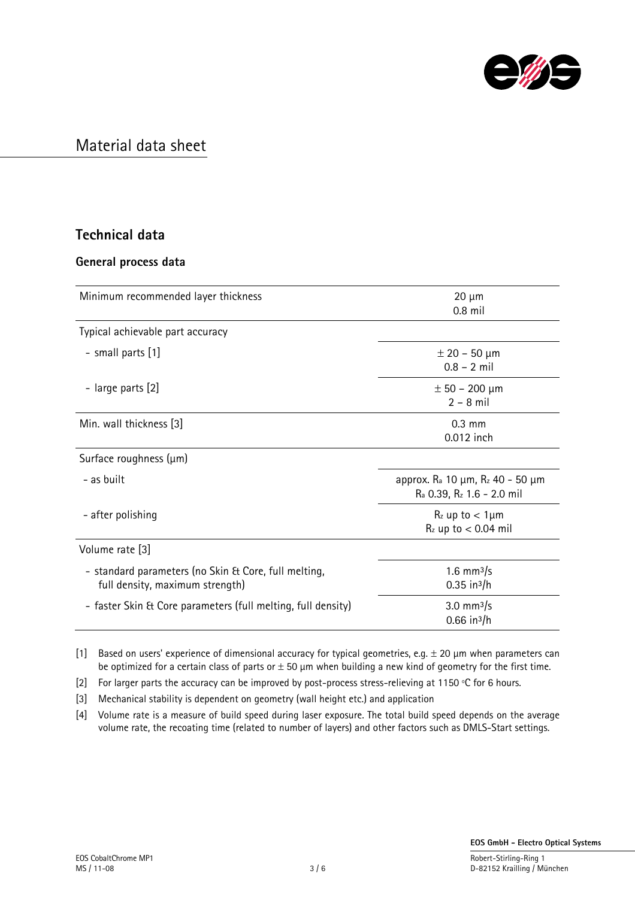

### **Technical data**

#### **General process data**

| Minimum recommended layer thickness                                                     | $20 \mu m$<br>$0.8$ mil                                                                                      |
|-----------------------------------------------------------------------------------------|--------------------------------------------------------------------------------------------------------------|
| Typical achievable part accuracy                                                        |                                                                                                              |
| - small parts [1]                                                                       | $\pm$ 20 – 50 µm<br>$0.8 - 2$ mil                                                                            |
| - large parts [2]                                                                       | $\pm 50 - 200 \mu m$<br>$2 - 8$ mil                                                                          |
| Min. wall thickness [3]                                                                 | $0.3 \text{ mm}$<br>0.012 inch                                                                               |
| Surface roughness (µm)                                                                  |                                                                                                              |
| - as built                                                                              | approx. R <sub>a</sub> 10 μm, R <sub>z</sub> 40 - 50 μm<br>R <sub>a</sub> 0.39, R <sub>z</sub> 1.6 - 2.0 mil |
| - after polishing                                                                       | $R_z$ up to $< 1 \mu m$<br>$Rz$ up to $< 0.04$ mil                                                           |
| Volume rate [3]                                                                         |                                                                                                              |
| - standard parameters (no Skin & Core, full melting,<br>full density, maximum strength) | 1.6 mm $^{3}/s$<br>$0.35$ in <sup>3</sup> /h                                                                 |
| - faster Skin & Core parameters (full melting, full density)                            | 3.0 mm $^{3}/s$<br>$0.66$ in $^{3}/h$                                                                        |

[1] Based on users' experience of dimensional accuracy for typical geometries, e.g.  $\pm$  20  $\mu$ m when parameters can be optimized for a certain class of parts or  $\pm$  50  $\mu$ m when building a new kind of geometry for the first time.

[2] For larger parts the accuracy can be improved by post-process stress-relieving at 1150 °C for 6 hours.

[3] Mechanical stability is dependent on geometry (wall height etc.) and application

[4] Volume rate is a measure of build speed during laser exposure. The total build speed depends on the average volume rate, the recoating time (related to number of layers) and other factors such as DMLS-Start settings.

D-82152 Krailling / München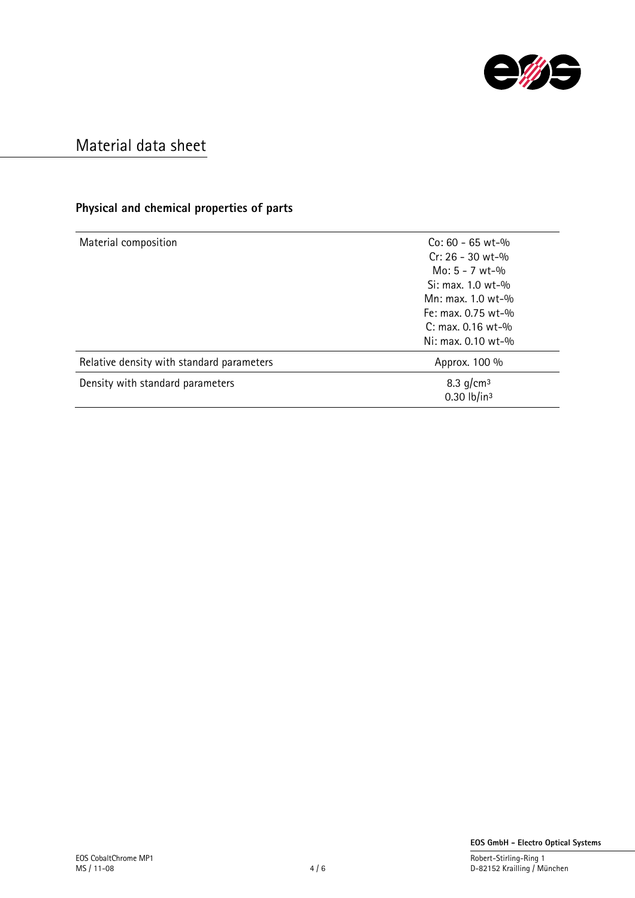

### **Physical and chemical properties of parts**

| $Co: 60 - 65 wt - %$<br>$Cr: 26 - 30$ wt-%<br>$Mo: 5 - 7 wt-%$ |  |
|----------------------------------------------------------------|--|
| $Si: max. 1.0 wt-0$                                            |  |
| Mn: max. 1.0 $wt-$ %                                           |  |
| Fe: max. $0.75$ wt-%                                           |  |
| $C: max. 0.16 wt-$ %                                           |  |
| $Ni: max. 0.10 wt-0$                                           |  |
| Approx. 100 %                                                  |  |
| 8.3 $q/cm^3$                                                   |  |
| 0.30 $lb/in^3$                                                 |  |
|                                                                |  |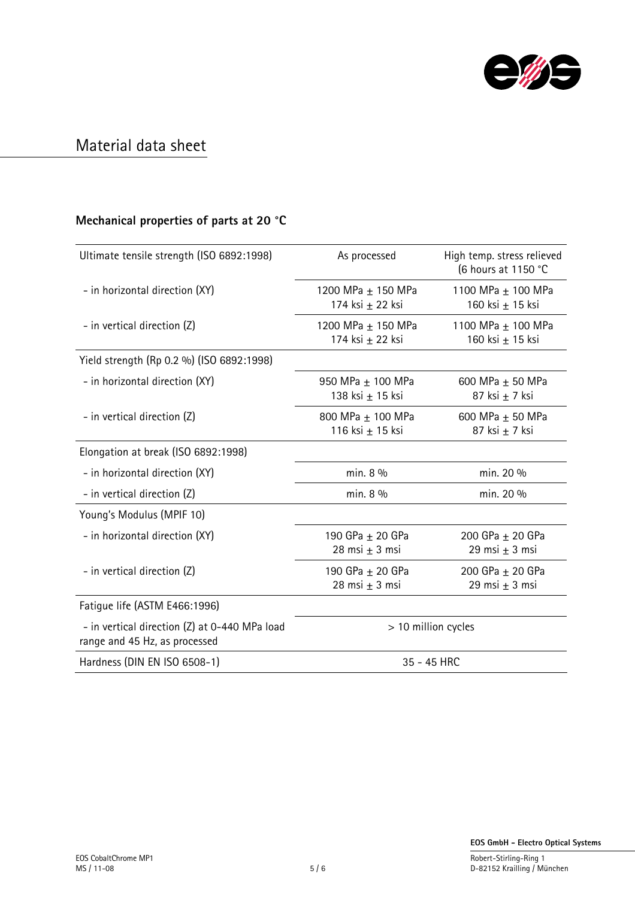

### **Mechanical properties of parts at 20 °C**

| Ultimate tensile strength (ISO 6892:1998)                                      | As processed                           | High temp. stress relieved<br>(6 hours at 1150 °C |
|--------------------------------------------------------------------------------|----------------------------------------|---------------------------------------------------|
| - in horizontal direction (XY)                                                 | 1200 MPa ± 150 MPa<br>174 ksi ± 22 ksi | 1100 MPa + 100 MPa<br>160 ksi ± 15 ksi            |
| - in vertical direction (Z)                                                    | 1200 MPa ± 150 MPa<br>174 ksi ± 22 ksi | 1100 MPa ± 100 MPa<br>160 ksi ± 15 ksi            |
| Yield strength (Rp 0.2 %) (ISO 6892:1998)                                      |                                        |                                                   |
| - in horizontal direction (XY)                                                 | 950 MPa ± 100 MPa<br>138 ksi ± 15 ksi  | 600 MPa ± 50 MPa<br>87 ksi ± 7 ksi                |
| - in vertical direction (Z)                                                    | 800 MPa ± 100 MPa<br>116 ksi ± 15 ksi  | 600 MPa ± 50 MPa<br>87 ksi $\pm$ 7 ksi            |
| Elongation at break (ISO 6892:1998)                                            |                                        |                                                   |
| - in horizontal direction (XY)                                                 | min. 8 %                               | min. 20 %                                         |
| - in vertical direction (Z)                                                    | min. 8 %                               | min. 20 %                                         |
| Young's Modulus (MPIF 10)                                                      |                                        |                                                   |
| - in horizontal direction (XY)                                                 | 190 GPa ± 20 GPa<br>28 msi $\pm$ 3 msi | 200 GPa ± 20 GPa<br>29 msi $\pm$ 3 msi            |
| - in vertical direction (Z)                                                    | 190 GPa ± 20 GPa<br>28 msi $\pm$ 3 msi | 200 GPa ± 20 GPa<br>29 msi $\pm$ 3 msi            |
| Fatique life (ASTM E466:1996)                                                  |                                        |                                                   |
| - in vertical direction (Z) at 0-440 MPa load<br>range and 45 Hz, as processed | > 10 million cycles                    |                                                   |
| Hardness (DIN EN ISO 6508-1)                                                   | 35 - 45 HRC                            |                                                   |

D-82152 Krailling / München